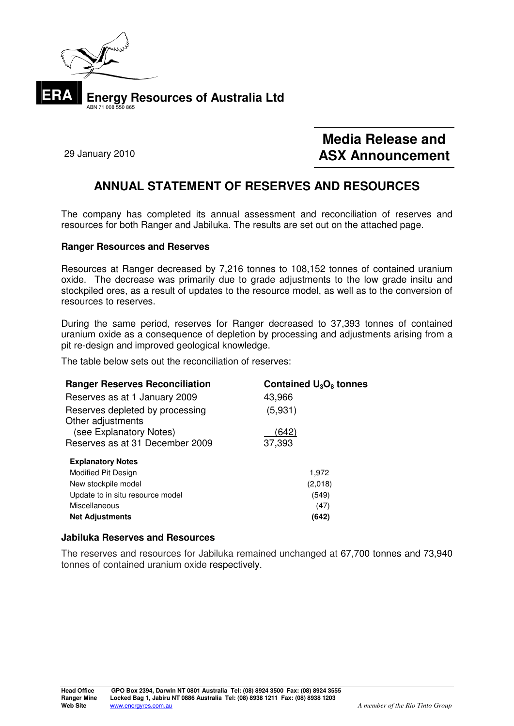

# **Media Release and ASX Announcement** 29 January 2010

## **ANNUAL STATEMENT OF RESERVES AND RESOURCES**

The company has completed its annual assessment and reconciliation of reserves and resources for both Ranger and Jabiluka. The results are set out on the attached page.

### **Ranger Resources and Reserves**

Resources at Ranger decreased by 7,216 tonnes to 108,152 tonnes of contained uranium oxide. The decrease was primarily due to grade adjustments to the low grade insitu and stockpiled ores, as a result of updates to the resource model, as well as to the conversion of resources to reserves.

During the same period, reserves for Ranger decreased to 37,393 tonnes of contained uranium oxide as a consequence of depletion by processing and adjustments arising from a pit re-design and improved geological knowledge.

The table below sets out the reconciliation of reserves:

| <b>Ranger Reserves Reconciliation</b> | Contained $U_3O_8$ tonnes |
|---------------------------------------|---------------------------|
| Reserves as at 1 January 2009         | 43,966                    |
| Reserves depleted by processing       | (5,931)                   |
| Other adjustments                     |                           |
| (see Explanatory Notes)               | (642)                     |
| Reserves as at 31 December 2009       | 37,393                    |
| <b>Explanatory Notes</b>              |                           |
| Modified Pit Design                   | 1,972                     |
| New stockpile model                   | (2,018)                   |
| Update to in situ resource model      | (549)                     |
| Miscellaneous                         | (47)                      |
| <b>Net Adjustments</b>                | (642)                     |

### **Jabiluka Reserves and Resources**

The reserves and resources for Jabiluka remained unchanged at 67,700 tonnes and 73,940 tonnes of contained uranium oxide respectively.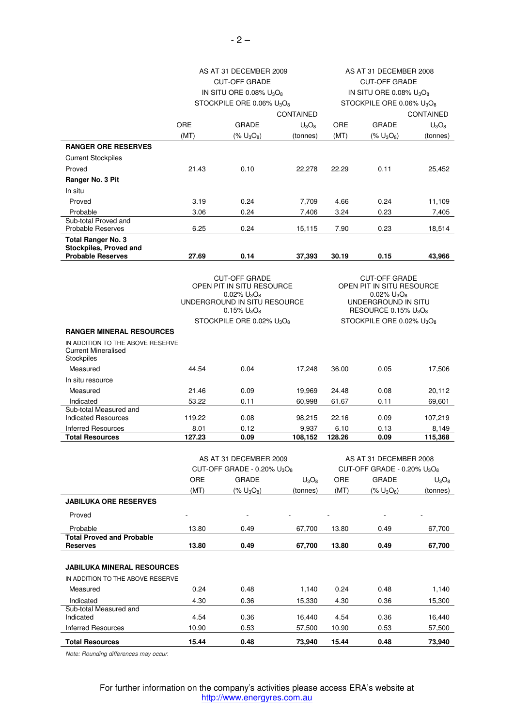|                                                      | AS AT 31 DECEMBER 2009                                 |                                                |                  | AS AT 31 DECEMBER 2008                              |                   |          |  |
|------------------------------------------------------|--------------------------------------------------------|------------------------------------------------|------------------|-----------------------------------------------------|-------------------|----------|--|
|                                                      | <b>CUT-OFF GRADE</b>                                   |                                                |                  | <b>CUT-OFF GRADE</b>                                |                   |          |  |
|                                                      | IN SITU ORE 0.08% U <sub>3</sub> O <sub>8</sub>        |                                                |                  | IN SITU ORE 0.08% $U_3O_8$                          |                   |          |  |
|                                                      | STOCKPILE ORE 0.06% U <sub>3</sub> O <sub>8</sub>      |                                                |                  | STOCKPILE ORE 0.06% U <sub>3</sub> O <sub>8</sub>   |                   |          |  |
|                                                      |                                                        |                                                | <b>CONTAINED</b> | <b>CONTAINED</b>                                    |                   |          |  |
|                                                      | ORE                                                    | <b>GRADE</b>                                   | $U_3O_8$         | ORE                                                 | <b>GRADE</b>      | $U_3O_8$ |  |
|                                                      | (MT)                                                   | $(% U_3O_8)$                                   | (tonnes)         | (MT)                                                | $(% U_3O_8)$      | (tonnes) |  |
| <b>RANGER ORE RESERVES</b>                           |                                                        |                                                |                  |                                                     |                   |          |  |
| <b>Current Stockpiles</b>                            |                                                        |                                                |                  |                                                     |                   |          |  |
| Proved                                               | 21.43                                                  | 0.10                                           | 22,278           | 22.29                                               | 0.11              | 25,452   |  |
| Ranger No. 3 Pit                                     |                                                        |                                                |                  |                                                     |                   |          |  |
| In situ                                              |                                                        |                                                |                  |                                                     |                   |          |  |
| Proved                                               | 3.19                                                   | 0.24                                           | 7,709            | 4.66                                                | 0.24              | 11,109   |  |
| Probable<br>Sub-total Proved and                     | 3.06                                                   | 0.24                                           | 7,406            | 3.24                                                | 0.23              | 7,405    |  |
| <b>Probable Reserves</b>                             | 6.25                                                   | 0.24                                           | 15,115           | 7.90                                                | 0.23              | 18,514   |  |
| <b>Total Ranger No. 3</b>                            |                                                        |                                                |                  |                                                     |                   |          |  |
| <b>Stockpiles, Proved and</b>                        |                                                        |                                                |                  |                                                     |                   |          |  |
| <b>Probable Reserves</b>                             | 27.69                                                  | 0.14                                           | 37,393           | 30.19                                               | 0.15              | 43,966   |  |
|                                                      |                                                        |                                                |                  |                                                     |                   |          |  |
|                                                      | <b>CUT-OFF GRADE</b><br>OPEN PIT IN SITU RESOURCE      |                                                |                  | <b>CUT-OFF GRADE</b><br>OPEN PIT IN SITU RESOURCE   |                   |          |  |
|                                                      |                                                        | $0.02\%$ U <sub>3</sub> O <sub>8</sub>         |                  |                                                     | $0.02\%$ $U_3O_8$ |          |  |
|                                                      |                                                        | UNDERGROUND IN SITU RESOURCE<br>0.15% $U_3O_8$ |                  | UNDERGROUND IN SITU<br>RESOURCE 0.15% $U_3O_8$      |                   |          |  |
|                                                      | STOCKPILE ORE 0.02% U <sub>3</sub> O <sub>8</sub>      |                                                |                  | STOCKPILE ORE 0.02% U <sub>3</sub> O <sub>8</sub>   |                   |          |  |
| <b>RANGER MINERAL RESOURCES</b>                      |                                                        |                                                |                  |                                                     |                   |          |  |
| IN ADDITION TO THE ABOVE RESERVE                     |                                                        |                                                |                  |                                                     |                   |          |  |
| <b>Current Mineralised</b><br>Stockpiles             |                                                        |                                                |                  |                                                     |                   |          |  |
| Measured                                             | 44.54                                                  | 0.04                                           | 17,248           | 36.00                                               | 0.05              | 17,506   |  |
| In situ resource                                     |                                                        |                                                |                  |                                                     |                   |          |  |
| Measured                                             | 21.46                                                  | 0.09                                           | 19,969           | 24.48                                               | 0.08              | 20,112   |  |
| Indicated                                            | 53.22                                                  | 0.11                                           | 60,998           | 61.67                                               | 0.11              | 69,601   |  |
| Sub-total Measured and<br><b>Indicated Resources</b> | 119.22                                                 | 0.08                                           | 98,215           | 22.16                                               | 0.09              | 107,219  |  |
| <b>Inferred Resources</b>                            | 8.01                                                   | 0.12                                           | 9,937            | 6.10                                                | 0.13              | 8,149    |  |
| <b>Total Resources</b>                               | 127.23                                                 | 0.09                                           | 108,152          | 128.26                                              | 0.09              | 115,368  |  |
|                                                      |                                                        |                                                |                  |                                                     |                   |          |  |
|                                                      |                                                        | AS AT 31 DECEMBER 2009                         |                  | AS AT 31 DECEMBER 2008                              |                   |          |  |
|                                                      | CUT-OFF GRADE - $0.20\%$ U <sub>3</sub> O <sub>8</sub> |                                                |                  | CUT-OFF GRADE - 0.20% U <sub>3</sub> O <sub>8</sub> |                   |          |  |
|                                                      | ORE                                                    | <b>GRADE</b>                                   | $U_3O_8$         | ORE                                                 | <b>GRADE</b>      | $U_3O_8$ |  |
|                                                      | (MT)                                                   | $(% U_3O_8)$                                   | (tonnes)         | (MT)                                                | $(% U_3O_8)$      | (tonnes) |  |
| <b>JABILUKA ORE RESERVES</b>                         |                                                        |                                                |                  |                                                     |                   |          |  |
| Proved                                               |                                                        |                                                |                  |                                                     |                   |          |  |
| Probable                                             | 13.80                                                  | 0.49                                           | 67,700           | 13.80                                               | 0.49              | 67,700   |  |
| <b>Total Proved and Probable</b>                     | 13.80                                                  | 0.49                                           | 67,700           | 13.80                                               | 0.49              | 67,700   |  |
| <b>Reserves</b>                                      |                                                        |                                                |                  |                                                     |                   |          |  |
| <b>JABILUKA MINERAL RESOURCES</b>                    |                                                        |                                                |                  |                                                     |                   |          |  |
| IN ADDITION TO THE ABOVE RESERVE                     |                                                        |                                                |                  |                                                     |                   |          |  |
| Measured                                             | 0.24                                                   | 0.48                                           | 1,140            | 0.24                                                | 0.48              | 1,140    |  |
| Indicated                                            | 4.30                                                   | 0.36                                           | 15,330           | 4.30                                                | 0.36              | 15,300   |  |
| Sub-total Measured and                               |                                                        |                                                |                  |                                                     |                   |          |  |
| Indicated                                            | 4.54                                                   | 0.36                                           | 16,440           | 4.54                                                | 0.36              | 16,440   |  |
| <b>Inferred Resources</b>                            | 10.90                                                  | 0.53                                           | 57,500           | 10.90                                               | 0.53              | 57,500   |  |
| <b>Total Resources</b>                               | 15.44                                                  | 0.48                                           | 73,940           | 15.44                                               | 0.48              | 73,940   |  |

Note: Rounding differences may occur.